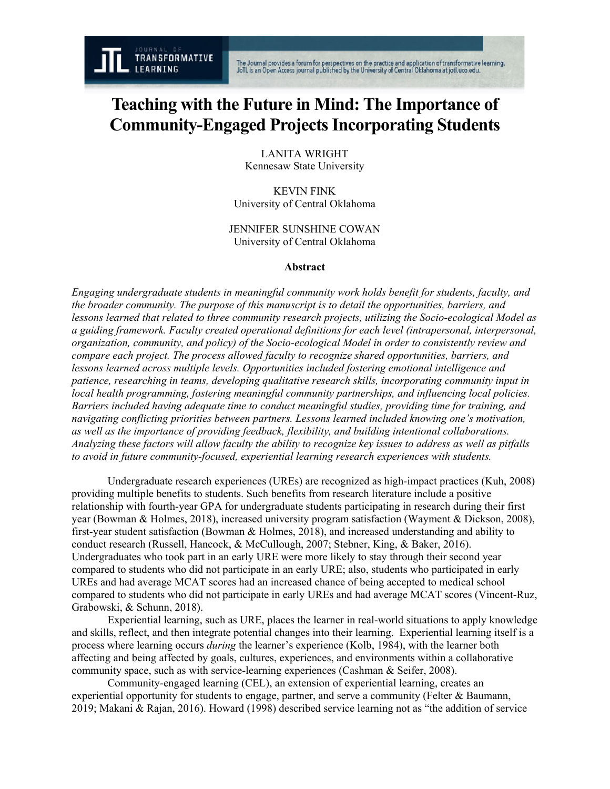# **Teaching with the Future in Mind: The Importance of Community-Engaged Projects Incorporating Students**

LANITA WRIGHT Kennesaw State University

KEVIN FINK University of Central Oklahoma

JENNIFER SUNSHINE COWAN University of Central Oklahoma

#### **Abstract**

*Engaging undergraduate students in meaningful community work holds benefit for students, faculty, and the broader community. The purpose of this manuscript is to detail the opportunities, barriers, and lessons learned that related to three community research projects, utilizing the Socio-ecological Model as a guiding framework. Faculty created operational definitions for each level (intrapersonal, interpersonal, organization, community, and policy) of the Socio-ecological Model in order to consistently review and compare each project. The process allowed faculty to recognize shared opportunities, barriers, and lessons learned across multiple levels. Opportunities included fostering emotional intelligence and patience, researching in teams, developing qualitative research skills, incorporating community input in local health programming, fostering meaningful community partnerships, and influencing local policies. Barriers included having adequate time to conduct meaningful studies, providing time for training, and navigating conflicting priorities between partners. Lessons learned included knowing one's motivation, as well as the importance of providing feedback, flexibility, and building intentional collaborations. Analyzing these factors will allow faculty the ability to recognize key issues to address as well as pitfalls to avoid in future community-focused, experiential learning research experiences with students.*

Undergraduate research experiences (UREs) are recognized as high-impact practices (Kuh, 2008) providing multiple benefits to students. Such benefits from research literature include a positive relationship with fourth-year GPA for undergraduate students participating in research during their first year (Bowman & Holmes, 2018), increased university program satisfaction (Wayment & Dickson, 2008), first-year student satisfaction (Bowman & Holmes, 2018), and increased understanding and ability to conduct research (Russell, Hancock, & McCullough, 2007; Stebner, King, & Baker, 2016). Undergraduates who took part in an early URE were more likely to stay through their second year compared to students who did not participate in an early URE; also, students who participated in early UREs and had average MCAT scores had an increased chance of being accepted to medical school compared to students who did not participate in early UREs and had average MCAT scores (Vincent-Ruz, Grabowski, & Schunn, 2018).

Experiential learning, such as URE, places the learner in real-world situations to apply knowledge and skills, reflect, and then integrate potential changes into their learning. Experiential learning itself is a process where learning occurs *during* the learner's experience (Kolb, 1984), with the learner both affecting and being affected by goals, cultures, experiences, and environments within a collaborative community space, such as with service-learning experiences (Cashman & Seifer, 2008).

Community-engaged learning (CEL), an extension of experiential learning, creates an experiential opportunity for students to engage, partner, and serve a community (Felter & Baumann, 2019; Makani & Rajan, 2016). Howard (1998) described service learning not as "the addition of service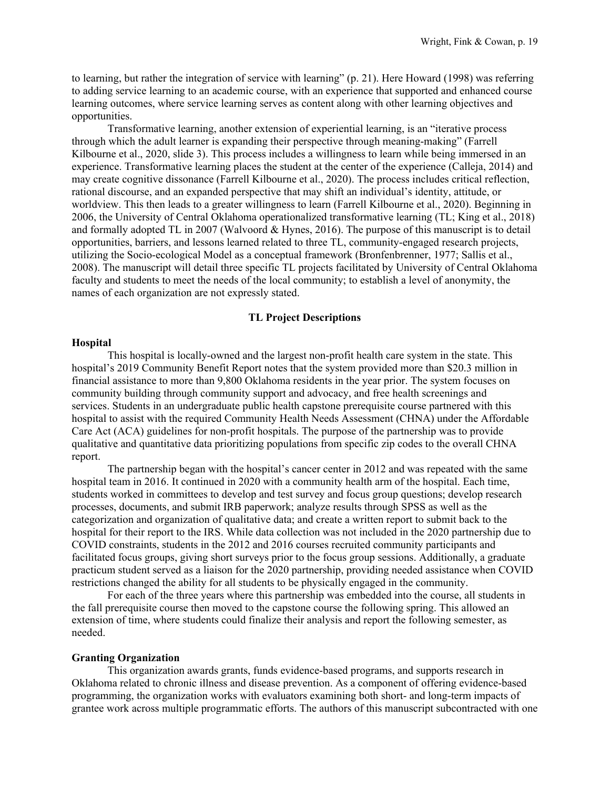to learning, but rather the integration of service with learning" (p. 21). Here Howard (1998) was referring to adding service learning to an academic course, with an experience that supported and enhanced course learning outcomes, where service learning serves as content along with other learning objectives and opportunities.

Transformative learning, another extension of experiential learning, is an "iterative process through which the adult learner is expanding their perspective through meaning-making" (Farrell Kilbourne et al., 2020, slide 3). This process includes a willingness to learn while being immersed in an experience. Transformative learning places the student at the center of the experience (Calleja, 2014) and may create cognitive dissonance (Farrell Kilbourne et al., 2020). The process includes critical reflection, rational discourse, and an expanded perspective that may shift an individual's identity, attitude, or worldview. This then leads to a greater willingness to learn (Farrell Kilbourne et al., 2020). Beginning in 2006, the University of Central Oklahoma operationalized transformative learning (TL; King et al., 2018) and formally adopted TL in 2007 (Walvoord & Hynes, 2016). The purpose of this manuscript is to detail opportunities, barriers, and lessons learned related to three TL, community-engaged research projects, utilizing the Socio-ecological Model as a conceptual framework (Bronfenbrenner, 1977; Sallis et al., 2008). The manuscript will detail three specific TL projects facilitated by University of Central Oklahoma faculty and students to meet the needs of the local community; to establish a level of anonymity, the names of each organization are not expressly stated.

# **TL Project Descriptions**

#### **Hospital**

This hospital is locally-owned and the largest non-profit health care system in the state. This hospital's 2019 Community Benefit Report notes that the system provided more than \$20.3 million in financial assistance to more than 9,800 Oklahoma residents in the year prior. The system focuses on community building through community support and advocacy, and free health screenings and services. Students in an undergraduate public health capstone prerequisite course partnered with this hospital to assist with the required Community Health Needs Assessment (CHNA) under the Affordable Care Act (ACA) guidelines for non-profit hospitals. The purpose of the partnership was to provide qualitative and quantitative data prioritizing populations from specific zip codes to the overall CHNA report.

The partnership began with the hospital's cancer center in 2012 and was repeated with the same hospital team in 2016. It continued in 2020 with a community health arm of the hospital. Each time, students worked in committees to develop and test survey and focus group questions; develop research processes, documents, and submit IRB paperwork; analyze results through SPSS as well as the categorization and organization of qualitative data; and create a written report to submit back to the hospital for their report to the IRS. While data collection was not included in the 2020 partnership due to COVID constraints, students in the 2012 and 2016 courses recruited community participants and facilitated focus groups, giving short surveys prior to the focus group sessions. Additionally, a graduate practicum student served as a liaison for the 2020 partnership, providing needed assistance when COVID restrictions changed the ability for all students to be physically engaged in the community.

For each of the three years where this partnership was embedded into the course, all students in the fall prerequisite course then moved to the capstone course the following spring. This allowed an extension of time, where students could finalize their analysis and report the following semester, as needed.

#### **Granting Organization**

This organization awards grants, funds evidence-based programs, and supports research in Oklahoma related to chronic illness and disease prevention. As a component of offering evidence-based programming, the organization works with evaluators examining both short- and long-term impacts of grantee work across multiple programmatic efforts. The authors of this manuscript subcontracted with one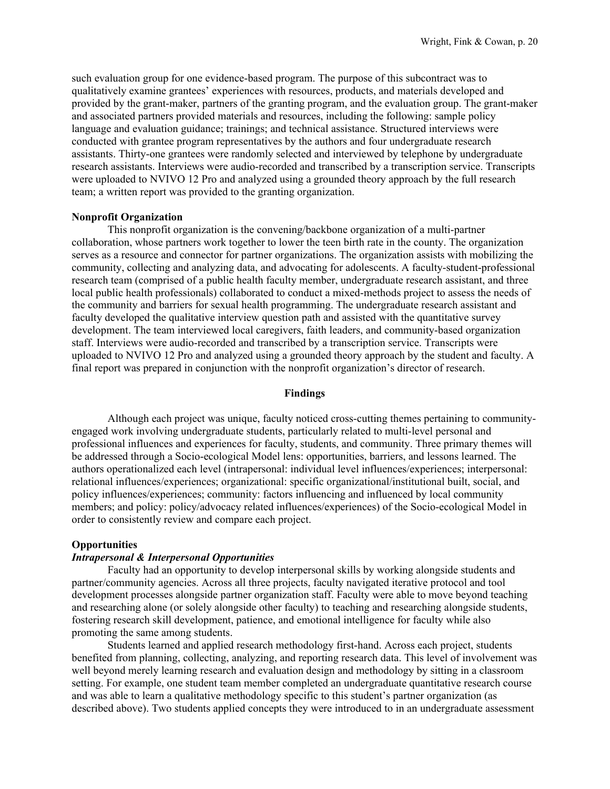such evaluation group for one evidence-based program. The purpose of this subcontract was to qualitatively examine grantees' experiences with resources, products, and materials developed and provided by the grant-maker, partners of the granting program, and the evaluation group. The grant-maker and associated partners provided materials and resources, including the following: sample policy language and evaluation guidance; trainings; and technical assistance. Structured interviews were conducted with grantee program representatives by the authors and four undergraduate research assistants. Thirty-one grantees were randomly selected and interviewed by telephone by undergraduate research assistants. Interviews were audio-recorded and transcribed by a transcription service. Transcripts were uploaded to NVIVO 12 Pro and analyzed using a grounded theory approach by the full research team; a written report was provided to the granting organization.

## **Nonprofit Organization**

This nonprofit organization is the convening/backbone organization of a multi-partner collaboration, whose partners work together to lower the teen birth rate in the county. The organization serves as a resource and connector for partner organizations. The organization assists with mobilizing the community, collecting and analyzing data, and advocating for adolescents. A faculty-student-professional research team (comprised of a public health faculty member, undergraduate research assistant, and three local public health professionals) collaborated to conduct a mixed-methods project to assess the needs of the community and barriers for sexual health programming. The undergraduate research assistant and faculty developed the qualitative interview question path and assisted with the quantitative survey development. The team interviewed local caregivers, faith leaders, and community-based organization staff. Interviews were audio-recorded and transcribed by a transcription service. Transcripts were uploaded to NVIVO 12 Pro and analyzed using a grounded theory approach by the student and faculty. A final report was prepared in conjunction with the nonprofit organization's director of research.

## **Findings**

Although each project was unique, faculty noticed cross-cutting themes pertaining to communityengaged work involving undergraduate students, particularly related to multi-level personal and professional influences and experiences for faculty, students, and community. Three primary themes will be addressed through a Socio-ecological Model lens: opportunities, barriers, and lessons learned. The authors operationalized each level (intrapersonal: individual level influences/experiences; interpersonal: relational influences/experiences; organizational: specific organizational/institutional built, social, and policy influences/experiences; community: factors influencing and influenced by local community members; and policy: policy/advocacy related influences/experiences) of the Socio-ecological Model in order to consistently review and compare each project.

## **Opportunities**

## *Intrapersonal & Interpersonal Opportunities*

Faculty had an opportunity to develop interpersonal skills by working alongside students and partner/community agencies. Across all three projects, faculty navigated iterative protocol and tool development processes alongside partner organization staff. Faculty were able to move beyond teaching and researching alone (or solely alongside other faculty) to teaching and researching alongside students, fostering research skill development, patience, and emotional intelligence for faculty while also promoting the same among students.

Students learned and applied research methodology first-hand. Across each project, students benefited from planning, collecting, analyzing, and reporting research data. This level of involvement was well beyond merely learning research and evaluation design and methodology by sitting in a classroom setting. For example, one student team member completed an undergraduate quantitative research course and was able to learn a qualitative methodology specific to this student's partner organization (as described above). Two students applied concepts they were introduced to in an undergraduate assessment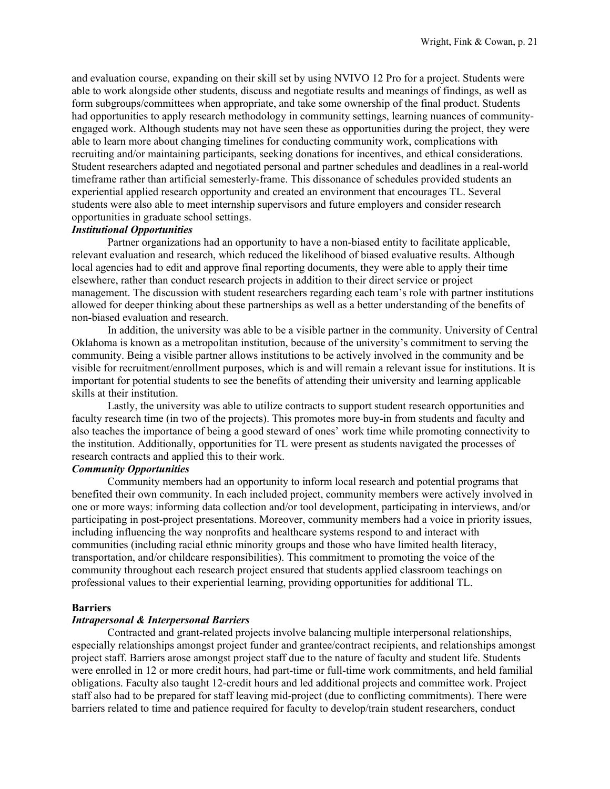and evaluation course, expanding on their skill set by using NVIVO 12 Pro for a project. Students were able to work alongside other students, discuss and negotiate results and meanings of findings, as well as form subgroups/committees when appropriate, and take some ownership of the final product. Students had opportunities to apply research methodology in community settings, learning nuances of communityengaged work. Although students may not have seen these as opportunities during the project, they were able to learn more about changing timelines for conducting community work, complications with recruiting and/or maintaining participants, seeking donations for incentives, and ethical considerations. Student researchers adapted and negotiated personal and partner schedules and deadlines in a real-world timeframe rather than artificial semesterly-frame. This dissonance of schedules provided students an experiential applied research opportunity and created an environment that encourages TL. Several students were also able to meet internship supervisors and future employers and consider research opportunities in graduate school settings.

# *Institutional Opportunities*

Partner organizations had an opportunity to have a non-biased entity to facilitate applicable, relevant evaluation and research, which reduced the likelihood of biased evaluative results. Although local agencies had to edit and approve final reporting documents, they were able to apply their time elsewhere, rather than conduct research projects in addition to their direct service or project management. The discussion with student researchers regarding each team's role with partner institutions allowed for deeper thinking about these partnerships as well as a better understanding of the benefits of non-biased evaluation and research.

In addition, the university was able to be a visible partner in the community. University of Central Oklahoma is known as a metropolitan institution, because of the university's commitment to serving the community. Being a visible partner allows institutions to be actively involved in the community and be visible for recruitment/enrollment purposes, which is and will remain a relevant issue for institutions. It is important for potential students to see the benefits of attending their university and learning applicable skills at their institution.

Lastly, the university was able to utilize contracts to support student research opportunities and faculty research time (in two of the projects). This promotes more buy-in from students and faculty and also teaches the importance of being a good steward of ones' work time while promoting connectivity to the institution. Additionally, opportunities for TL were present as students navigated the processes of research contracts and applied this to their work.

## *Community Opportunities*

Community members had an opportunity to inform local research and potential programs that benefited their own community. In each included project, community members were actively involved in one or more ways: informing data collection and/or tool development, participating in interviews, and/or participating in post-project presentations. Moreover, community members had a voice in priority issues, including influencing the way nonprofits and healthcare systems respond to and interact with communities (including racial ethnic minority groups and those who have limited health literacy, transportation, and/or childcare responsibilities). This commitment to promoting the voice of the community throughout each research project ensured that students applied classroom teachings on professional values to their experiential learning, providing opportunities for additional TL.

## **Barriers**

#### *Intrapersonal & Interpersonal Barriers*

Contracted and grant-related projects involve balancing multiple interpersonal relationships, especially relationships amongst project funder and grantee/contract recipients, and relationships amongst project staff. Barriers arose amongst project staff due to the nature of faculty and student life. Students were enrolled in 12 or more credit hours, had part-time or full-time work commitments, and held familial obligations. Faculty also taught 12-credit hours and led additional projects and committee work. Project staff also had to be prepared for staff leaving mid-project (due to conflicting commitments). There were barriers related to time and patience required for faculty to develop/train student researchers, conduct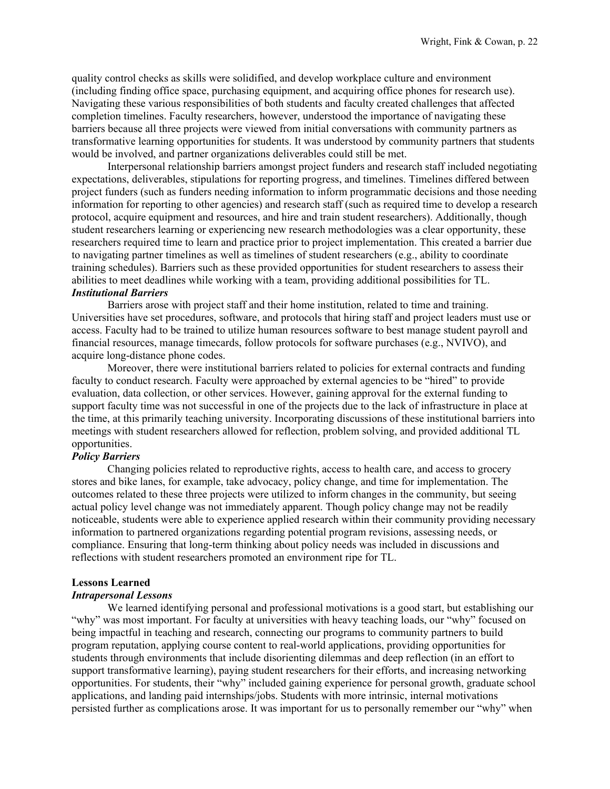quality control checks as skills were solidified, and develop workplace culture and environment (including finding office space, purchasing equipment, and acquiring office phones for research use). Navigating these various responsibilities of both students and faculty created challenges that affected completion timelines. Faculty researchers, however, understood the importance of navigating these barriers because all three projects were viewed from initial conversations with community partners as transformative learning opportunities for students. It was understood by community partners that students would be involved, and partner organizations deliverables could still be met.

Interpersonal relationship barriers amongst project funders and research staff included negotiating expectations, deliverables, stipulations for reporting progress, and timelines. Timelines differed between project funders (such as funders needing information to inform programmatic decisions and those needing information for reporting to other agencies) and research staff (such as required time to develop a research protocol, acquire equipment and resources, and hire and train student researchers). Additionally, though student researchers learning or experiencing new research methodologies was a clear opportunity, these researchers required time to learn and practice prior to project implementation. This created a barrier due to navigating partner timelines as well as timelines of student researchers (e.g., ability to coordinate training schedules). Barriers such as these provided opportunities for student researchers to assess their abilities to meet deadlines while working with a team, providing additional possibilities for TL. *Institutional Barriers* 

Barriers arose with project staff and their home institution, related to time and training. Universities have set procedures, software, and protocols that hiring staff and project leaders must use or access. Faculty had to be trained to utilize human resources software to best manage student payroll and financial resources, manage timecards, follow protocols for software purchases (e.g., NVIVO), and acquire long-distance phone codes.

Moreover, there were institutional barriers related to policies for external contracts and funding faculty to conduct research. Faculty were approached by external agencies to be "hired" to provide evaluation, data collection, or other services. However, gaining approval for the external funding to support faculty time was not successful in one of the projects due to the lack of infrastructure in place at the time, at this primarily teaching university. Incorporating discussions of these institutional barriers into meetings with student researchers allowed for reflection, problem solving, and provided additional TL opportunities.

## *Policy Barriers*

Changing policies related to reproductive rights, access to health care, and access to grocery stores and bike lanes, for example, take advocacy, policy change, and time for implementation. The outcomes related to these three projects were utilized to inform changes in the community, but seeing actual policy level change was not immediately apparent. Though policy change may not be readily noticeable, students were able to experience applied research within their community providing necessary information to partnered organizations regarding potential program revisions, assessing needs, or compliance. Ensuring that long-term thinking about policy needs was included in discussions and reflections with student researchers promoted an environment ripe for TL.

## **Lessons Learned**

## *Intrapersonal Lessons*

We learned identifying personal and professional motivations is a good start, but establishing our "why" was most important. For faculty at universities with heavy teaching loads, our "why" focused on being impactful in teaching and research, connecting our programs to community partners to build program reputation, applying course content to real-world applications, providing opportunities for students through environments that include disorienting dilemmas and deep reflection (in an effort to support transformative learning), paying student researchers for their efforts, and increasing networking opportunities. For students, their "why" included gaining experience for personal growth, graduate school applications, and landing paid internships/jobs. Students with more intrinsic, internal motivations persisted further as complications arose. It was important for us to personally remember our "why" when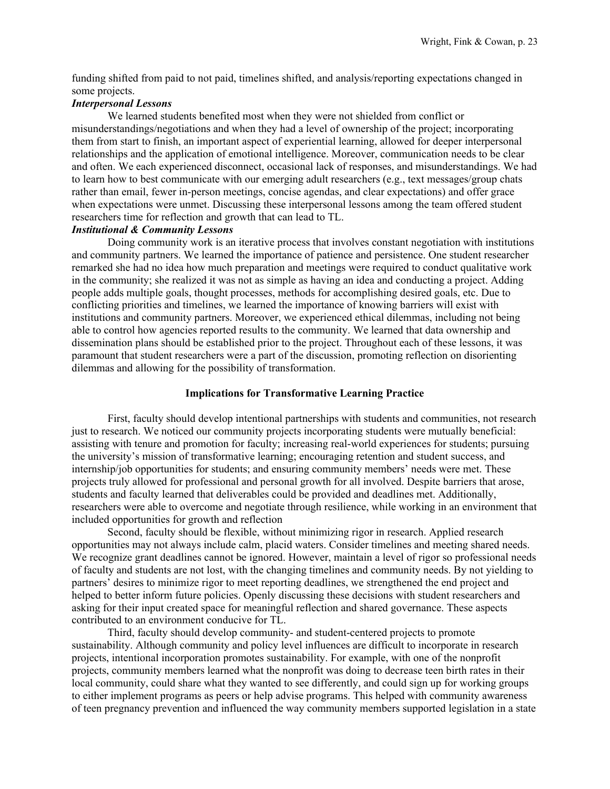funding shifted from paid to not paid, timelines shifted, and analysis/reporting expectations changed in some projects.

# *Interpersonal Lessons*

We learned students benefited most when they were not shielded from conflict or misunderstandings/negotiations and when they had a level of ownership of the project; incorporating them from start to finish, an important aspect of experiential learning, allowed for deeper interpersonal relationships and the application of emotional intelligence. Moreover, communication needs to be clear and often. We each experienced disconnect, occasional lack of responses, and misunderstandings. We had to learn how to best communicate with our emerging adult researchers (e.g., text messages/group chats rather than email, fewer in-person meetings, concise agendas, and clear expectations) and offer grace when expectations were unmet. Discussing these interpersonal lessons among the team offered student researchers time for reflection and growth that can lead to TL.

# *Institutional & Community Lessons*

Doing community work is an iterative process that involves constant negotiation with institutions and community partners. We learned the importance of patience and persistence. One student researcher remarked she had no idea how much preparation and meetings were required to conduct qualitative work in the community; she realized it was not as simple as having an idea and conducting a project. Adding people adds multiple goals, thought processes, methods for accomplishing desired goals, etc. Due to conflicting priorities and timelines, we learned the importance of knowing barriers will exist with institutions and community partners. Moreover, we experienced ethical dilemmas, including not being able to control how agencies reported results to the community. We learned that data ownership and dissemination plans should be established prior to the project. Throughout each of these lessons, it was paramount that student researchers were a part of the discussion, promoting reflection on disorienting dilemmas and allowing for the possibility of transformation.

### **Implications for Transformative Learning Practice**

First, faculty should develop intentional partnerships with students and communities, not research just to research. We noticed our community projects incorporating students were mutually beneficial: assisting with tenure and promotion for faculty; increasing real-world experiences for students; pursuing the university's mission of transformative learning; encouraging retention and student success, and internship/job opportunities for students; and ensuring community members' needs were met. These projects truly allowed for professional and personal growth for all involved. Despite barriers that arose, students and faculty learned that deliverables could be provided and deadlines met. Additionally, researchers were able to overcome and negotiate through resilience, while working in an environment that included opportunities for growth and reflection

Second, faculty should be flexible, without minimizing rigor in research. Applied research opportunities may not always include calm, placid waters. Consider timelines and meeting shared needs. We recognize grant deadlines cannot be ignored. However, maintain a level of rigor so professional needs of faculty and students are not lost, with the changing timelines and community needs. By not yielding to partners' desires to minimize rigor to meet reporting deadlines, we strengthened the end project and helped to better inform future policies. Openly discussing these decisions with student researchers and asking for their input created space for meaningful reflection and shared governance. These aspects contributed to an environment conducive for TL.

Third, faculty should develop community- and student-centered projects to promote sustainability. Although community and policy level influences are difficult to incorporate in research projects, intentional incorporation promotes sustainability. For example, with one of the nonprofit projects, community members learned what the nonprofit was doing to decrease teen birth rates in their local community, could share what they wanted to see differently, and could sign up for working groups to either implement programs as peers or help advise programs. This helped with community awareness of teen pregnancy prevention and influenced the way community members supported legislation in a state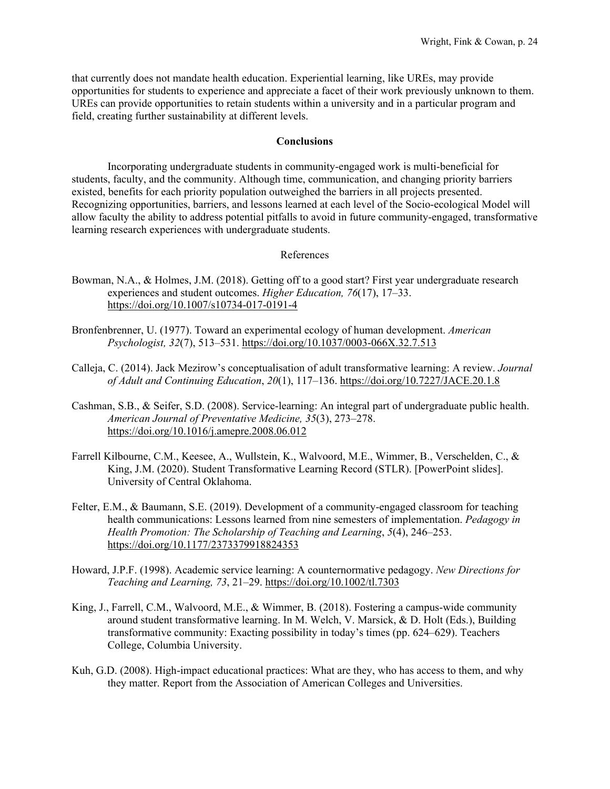that currently does not mandate health education. Experiential learning, like UREs, may provide opportunities for students to experience and appreciate a facet of their work previously unknown to them. UREs can provide opportunities to retain students within a university and in a particular program and field, creating further sustainability at different levels.

# **Conclusions**

Incorporating undergraduate students in community-engaged work is multi-beneficial for students, faculty, and the community. Although time, communication, and changing priority barriers existed, benefits for each priority population outweighed the barriers in all projects presented. Recognizing opportunities, barriers, and lessons learned at each level of the Socio-ecological Model will allow faculty the ability to address potential pitfalls to avoid in future community-engaged, transformative learning research experiences with undergraduate students.

# References

- Bowman, N.A., & Holmes, J.M. (2018). Getting off to a good start? First year undergraduate research experiences and student outcomes. *Higher Education, 76*(17), 17–33. <https://doi.org/10.1007/s10734-017-0191-4>
- Bronfenbrenner, U. (1977). Toward an experimental ecology of human development. *American Psychologist, 32*(7), 513–531.<https://doi.org/10.1037/0003-066X.32.7.513>
- Calleja, C. (2014). Jack Mezirow's conceptualisation of adult transformative learning: A review. *Journal of Adult and Continuing Education*, *20*(1), 117–136.<https://doi.org/10.7227/JACE.20.1.8>
- Cashman, S.B., & Seifer, S.D. (2008). Service-learning: An integral part of undergraduate public health. *American Journal of Preventative Medicine, 35*(3), 273–278. <https://doi.org/10.1016/j.amepre.2008.06.012>
- Farrell Kilbourne, C.M., Keesee, A., Wullstein, K., Walvoord, M.E., Wimmer, B., Verschelden, C., & King, J.M. (2020). Student Transformative Learning Record (STLR). [PowerPoint slides]. University of Central Oklahoma.
- Felter, E.M., & Baumann, S.E. (2019). Development of a community-engaged classroom for teaching health communications: Lessons learned from nine semesters of implementation. *Pedagogy in Health Promotion: The Scholarship of Teaching and Learning*, *5*(4), 246–253. <https://doi.org/10.1177/2373379918824353>
- Howard, J.P.F. (1998). Academic service learning: A counternormative pedagogy. *New Directions for Teaching and Learning, 73*, 21–29.<https://doi.org/10.1002/tl.7303>
- King, J., Farrell, C.M., Walvoord, M.E., & Wimmer, B. (2018). Fostering a campus-wide community around student transformative learning. In M. Welch, V. Marsick, & D. Holt (Eds.), Building transformative community: Exacting possibility in today's times (pp. 624–629). Teachers College, Columbia University.
- Kuh, G.D. (2008). High-impact educational practices: What are they, who has access to them, and why they matter. Report from the Association of American Colleges and Universities.